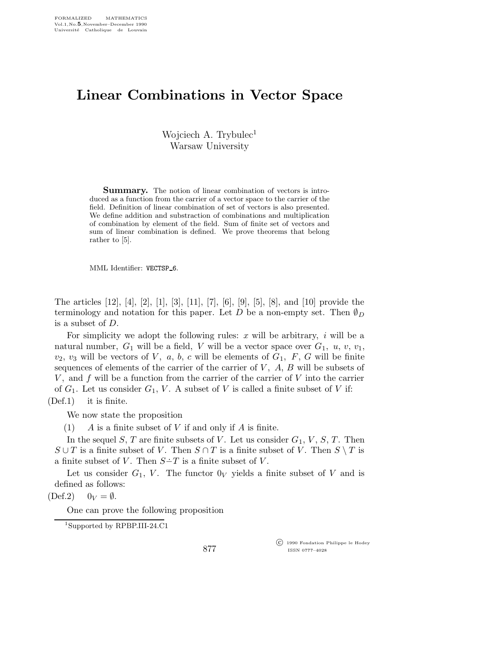## Linear Combinations in Vector Space

Wojciech A. Trybulec<sup>1</sup> Warsaw University

**Summary.** The notion of linear combination of vectors is introduced as a function from the carrier of a vector space to the carrier of the field. Definition of linear combination of set of vectors is also presented. We define addition and substraction of combinations and multiplication of combination by element of the field. Sum of finite set of vectors and sum of linear combination is defined. We prove theorems that belong rather to [5].

MML Identifier: VECTSP\_6.

The articles [12], [4], [2], [1], [3], [11], [7], [6], [9], [5], [8], and [10] provide the terminology and notation for this paper. Let D be a non-empty set. Then  $\emptyset_D$ is a subset of D.

For simplicity we adopt the following rules:  $x$  will be arbitrary,  $i$  will be a natural number,  $G_1$  will be a field, V will be a vector space over  $G_1$ ,  $u$ ,  $v$ ,  $v_1$ ,  $v_2, v_3$  will be vectors of V, a, b, c will be elements of  $G_1$ , F, G will be finite sequences of elements of the carrier of the carrier of  $V$ ,  $A$ ,  $B$  will be subsets of  $V$ , and  $f$  will be a function from the carrier of the carrier of  $V$  into the carrier of  $G_1$ . Let us consider  $G_1$ , V. A subset of V is called a finite subset of V if: (Def.1) it is finite.

We now state the proposition

(1)  $A$  is a finite subset of V if and only if A is finite.

In the sequel S, T are finite subsets of V. Let us consider  $G_1$ , V, S, T. Then  $S \cup T$  is a finite subset of V. Then  $S \cap T$  is a finite subset of V. Then  $S \setminus T$  is a finite subset of V. Then  $S-T$  is a finite subset of V.

Let us consider  $G_1$ , V. The functor  $0_V$  yields a finite subset of V and is defined as follows:

 $(\text{Def.2})$   $0_V = \emptyset$ .

One can prove the following proposition

<sup>1</sup>Supported by RPBP.III-24.C1

877

 c 1990 Fondation Philippe le Hodey ISSN 0777–4028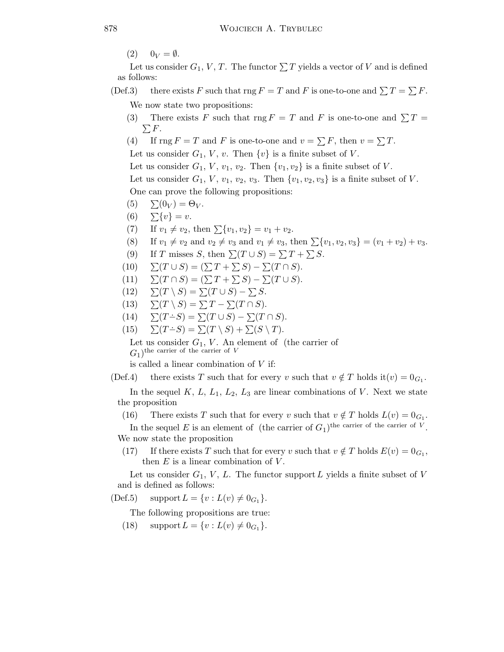$(2)$   $0_V = \emptyset$ .

Let us consider  $G_1, V, T$ . The functor  $\sum T$  yields a vector of V and is defined as follows:

- (Def.3) there exists F such that rng  $F = T$  and F is one-to-one and  $\sum T = \sum F$ . We now state two propositions:
	- (3) There exists F such that  $\text{rng } F = T$  and F is one-to-one and  $\sum T =$  $\sum F.$
	- (4) If  $\text{rng } F = T$  and F is one-to-one and  $v = \sum F$ , then  $v = \sum T$ .

Let us consider  $G_1$ , V, v. Then  $\{v\}$  is a finite subset of V.

Let us consider  $G_1$ ,  $V$ ,  $v_1$ ,  $v_2$ . Then  $\{v_1, v_2\}$  is a finite subset of V.

Let us consider  $G_1$ ,  $V$ ,  $v_1$ ,  $v_2$ ,  $v_3$ . Then  $\{v_1, v_2, v_3\}$  is a finite subset of V. One can prove the following propositions:

- (5)  $\sum (0_V ) = \Theta_V$ .
- (6)  $\sum \{v\} = v$ .
- (7) If  $v_1 \neq v_2$ , then  $\sum \{v_1, v_2\} = v_1 + v_2$ .
- (8) If  $v_1 \neq v_2$  and  $v_2 \neq v_3$  and  $v_1 \neq v_3$ , then  $\sum \{v_1, v_2, v_3\} = (v_1 + v_2) + v_3$ .
- (9) If T misses S, then  $\sum(T \cup S) = \sum T + \sum S$ .
- $(10) \quad \Sigma(T \cup S) = (\Sigma T + \Sigma S) \Sigma(T \cap S).$
- (11)  $\sum(T \cap S) = (\sum T + \sum S) \sum(T \cup S).$
- (12)  $\sum(T \setminus S) = \sum(T \cup S) \sum S$ .
- (13)  $\sum(T \setminus S) = \sum T \sum(T \cap S).$
- (14)  $\sum (T-S) = \sum (T \cup S) \sum (T \cap S).$
- (15)  $\Sigma(T-S) = \Sigma(T \setminus S) + \Sigma(S \setminus T).$

Let us consider  $G_1$ , V. An element of (the carrier of  $G_1$ )<sup>the carrier of the carrier of V</sup>

is called a linear combination of V if:

(Def.4) there exists T such that for every v such that  $v \notin T$  holds it $(v) = 0_{G_1}$ .

In the sequel  $K, L, L_1, L_2, L_3$  are linear combinations of V. Next we state the proposition

(16) There exists T such that for every v such that  $v \notin T$  holds  $L(v) = 0_{G_1}$ .

In the sequel E is an element of (the carrier of  $G_1$ )<sup>the carrier of the carrier of V</sup>. We now state the proposition

(17) If there exists T such that for every v such that  $v \notin T$  holds  $E(v) = 0_{G_1}$ , then  $E$  is a linear combination of  $V$ .

Let us consider  $G_1$ , V, L. The functor support L yields a finite subset of V and is defined as follows:

(Def.5) support  $L = \{v : L(v) \neq 0_{G_1}\}.$ 

The following propositions are true:

(18) support  $L = \{v : L(v) \neq 0_{G_1}\}.$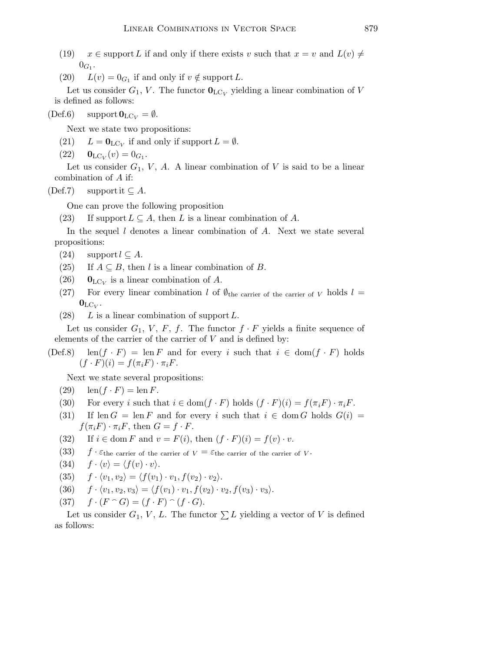(19)  $x \in \text{support } L$  if and only if there exists v such that  $x = v$  and  $L(v) \neq$  $0_{G_1}.$ 

(20)  $L(v) = 0_{G_1}$  if and only if  $v \notin \text{support } L$ .

Let us consider  $G_1$ , V. The functor  $\mathbf{0}_{\mathrm{LC}_V}$  yielding a linear combination of V is defined as follows:

 $(\text{Def.6})$  support  $\mathbf{0}_{\text{LC}_V} = \emptyset$ .

Next we state two propositions:

- (21)  $L = \mathbf{0}_{\text{LC}_V}$  if and only if support  $L = \emptyset$ .
- $(22)$   $\mathbf{0}_{\text{LC}_V}(v) = 0_{G_1}.$

Let us consider  $G_1$ , V, A. A linear combination of V is said to be a linear combination of A if:

(Def.7) support it  $\subset A$ .

One can prove the following proposition

(23) If support  $L \subseteq A$ , then L is a linear combination of A.

In the sequel  $l$  denotes a linear combination of  $A$ . Next we state several propositions:

- (24) support  $l \subseteq A$ .
- (25) If  $A \subseteq B$ , then l is a linear combination of B.
- (26)  $\mathbf{0}_{\text{LC}_V}$  is a linear combination of A.
- (27) For every linear combination l of  $\emptyset_{\text{the carrier of the carrier of }V}$  holds  $l =$  $\mathbf{0}_{\mathrm{LC}_V}.$
- (28) L is a linear combination of support  $L$ .

Let us consider  $G_1$ , V, F, f. The functor  $f \cdot F$  yields a finite sequence of elements of the carrier of the carrier of  $V$  and is defined by:

(Def.8) len(f · F) = len F and for every i such that  $i \in \text{dom}(f \cdot F)$  holds  $(f \cdot F)(i) = f(\pi_i F) \cdot \pi_i F$ .

Next we state several propositions:

- (29)  $\operatorname{len}(f \cdot F) = \operatorname{len} F$ .
- (30) For every i such that  $i \in \text{dom}(f \cdot F)$  holds  $(f \cdot F)(i) = f(\pi_i F) \cdot \pi_i F$ .
- (31) If len  $G = \text{len } F$  and for every i such that  $i \in \text{dom } G$  holds  $G(i) =$  $f(\pi_i F) \cdot \pi_i F$ , then  $G = f \cdot F$ .
- (32) If  $i \in \text{dom } F$  and  $v = F(i)$ , then  $(f \cdot F)(i) = f(v) \cdot v$ .
- (33)  $f \cdot \varepsilon$ the carrier of the carrier of  $V = \varepsilon$ the carrier of the carrier of V.
- (34)  $f \cdot \langle v \rangle = \langle f(v) \cdot v \rangle$ .
- (35)  $f \cdot \langle v_1, v_2 \rangle = \langle f(v_1) \cdot v_1, f(v_2) \cdot v_2 \rangle.$
- (36)  $f \cdot \langle v_1, v_2, v_3 \rangle = \langle f(v_1) \cdot v_1, f(v_2) \cdot v_2, f(v_3) \cdot v_3 \rangle.$
- (37)  $f \cdot (F \cap G) = (f \cdot F) \cap (f \cdot G).$

Let us consider  $G_1, V, L$ . The functor  $\sum L$  yielding a vector of V is defined as follows: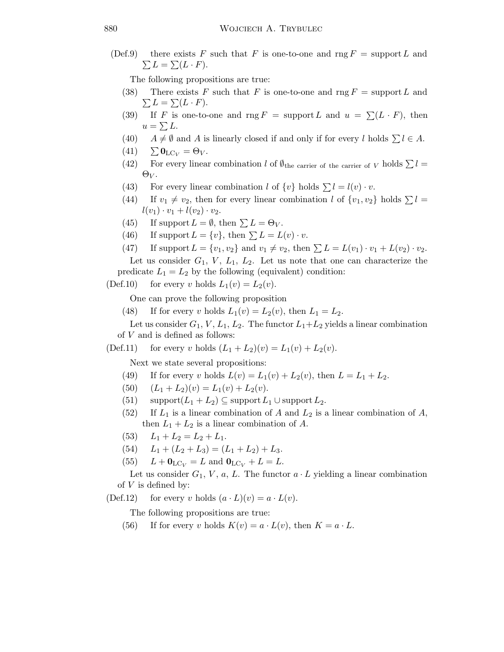(Def.9) there exists F such that F is one-to-one and rng  $F =$  support L and  $\sum L = \sum (L \cdot F).$ 

The following propositions are true:

- (38) There exists F such that F is one-to-one and rng  $F = support L$  and  $\sum L = \sum (L \cdot F).$
- (39) If F is one-to-one and rng  $F = \text{support } L$  and  $u = \sum (L \cdot F)$ , then  $u = \sum L$ .
- (40)  $A \neq \emptyset$  and A is linearly closed if and only if for every l holds  $\sum l \in A$ .
- $(41)$   $\sum \mathbf{0}_{\text{LC}_V} = \Theta_V$ .
- (42) For every linear combination l of  $\emptyset_{\text{the carrier of the carrier of }V}$  holds  $\Sigma l =$  $\Theta_V$ .
- (43) For every linear combination l of  $\{v\}$  holds  $\sum l = l(v) \cdot v$ .
- (44) If  $v_1 \neq v_2$ , then for every linear combination l of  $\{v_1, v_2\}$  holds  $\sum l =$  $l(v_1) \cdot v_1 + l(v_2) \cdot v_2.$
- (45) If support  $L = \emptyset$ , then  $\sum L = \Theta_V$ .
- (46) If support  $L = \{v\}$ , then  $\sum L = L(v) \cdot v$ .
- (47) If support  $L = \{v_1, v_2\}$  and  $v_1 \neq v_2$ , then  $\sum L = L(v_1) \cdot v_1 + L(v_2) \cdot v_2$ .

Let us consider  $G_1$ ,  $V$ ,  $L_1$ ,  $L_2$ . Let us note that one can characterize the predicate  $L_1 = L_2$  by the following (equivalent) condition:

(Def.10) for every v holds  $L_1(v) = L_2(v)$ .

One can prove the following proposition

(48) If for every v holds  $L_1(v) = L_2(v)$ , then  $L_1 = L_2$ .

Let us consider  $G_1, V, L_1, L_2$ . The functor  $L_1 + L_2$  yields a linear combination of  $V$  and is defined as follows:

(Def.11) for every v holds  $(L_1 + L_2)(v) = L_1(v) + L_2(v)$ .

Next we state several propositions:

- (49) If for every v holds  $L(v) = L_1(v) + L_2(v)$ , then  $L = L_1 + L_2$ .
- (50)  $(L_1 + L_2)(v) = L_1(v) + L_2(v).$
- (51)  $\text{support}(L_1 + L_2) \subseteq \text{support} L_1 \cup \text{support} L_2.$
- (52) If  $L_1$  is a linear combination of A and  $L_2$  is a linear combination of A, then  $L_1 + L_2$  is a linear combination of A.
- (53)  $L_1 + L_2 = L_2 + L_1$ .
- (54)  $L_1 + (L_2 + L_3) = (L_1 + L_2) + L_3.$
- (55)  $L + 0_{\text{LC}_V} = L$  and  $0_{\text{LC}_V} + L = L$ .

Let us consider  $G_1$ , V, a, L. The functor  $a \cdot L$  yielding a linear combination of  $V$  is defined by:

(Def.12) for every v holds  $(a \cdot L)(v) = a \cdot L(v)$ .

The following propositions are true:

(56) If for every v holds  $K(v) = a \cdot L(v)$ , then  $K = a \cdot L$ .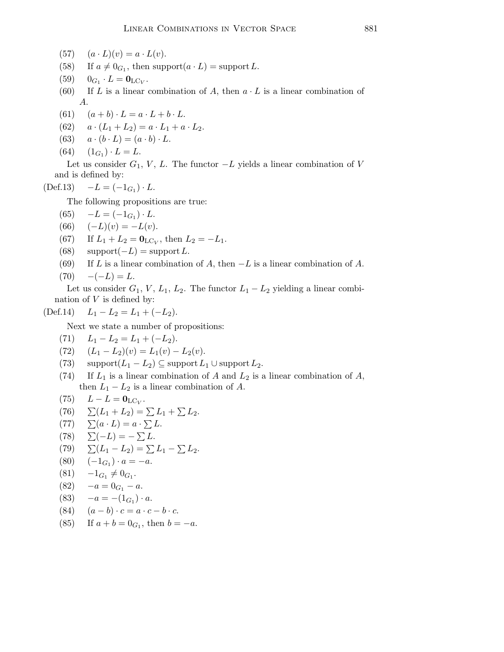- (57)  $(a \cdot L)(v) = a \cdot L(v).$
- (58) If  $a \neq 0_{G_1}$ , then support $(a \cdot L)$  = support L.
- $(59)$  $\cdot L = \mathbf{0}_{\mathrm{LC}_V}.$
- (60) If L is a linear combination of A, then  $a \cdot L$  is a linear combination of A.
- (61)  $(a + b) \cdot L = a \cdot L + b \cdot L$ .
- (62)  $a \cdot (L_1 + L_2) = a \cdot L_1 + a \cdot L_2.$
- (63)  $a \cdot (b \cdot L) = (a \cdot b) \cdot L$ .
- $(64) \quad (1_{G_1}) \cdot L = L.$

Let us consider  $G_1$ , V, L. The functor  $-L$  yields a linear combination of V and is defined by:

 $(\text{Def.13}) \quad -L = (-1_{G_1}) \cdot L.$ 

The following propositions are true:

- $(65) \quad -L = (-1_{G_1}) \cdot L.$
- (66)  $(-L)(v) = -L(v)$ .
- (67) If  $L_1 + L_2 = \mathbf{0}_{\text{LC}_V}$ , then  $L_2 = -L_1$ .
- (68)  $\text{support}(-L) = \text{support}L$ .
- (69) If L is a linear combination of A, then  $-L$  is a linear combination of A.

$$
(70) \quad -(-L) = L.
$$

Let us consider  $G_1$ ,  $V$ ,  $L_1$ ,  $L_2$ . The functor  $L_1 - L_2$  yielding a linear combination of  $V$  is defined by:

$$
(Def.14) \tL1 - L2 = L1 + (-L2).
$$

Next we state a number of propositions:

(71) 
$$
L_1 - L_2 = L_1 + (-L_2).
$$

- (72)  $(L_1 L_2)(v) = L_1(v) L_2(v).$
- (73) support $(L_1 L_2) \subseteq$  support  $L_1 \cup$  support  $L_2$ .
- (74) If  $L_1$  is a linear combination of A and  $L_2$  is a linear combination of A, then  $L_1 - L_2$  is a linear combination of A.

$$
(75) \qquad L - L = \mathbf{0}_{\mathrm{LC}_V}.
$$

- (76)  $\Sigma(L_1 + L_2) = \Sigma L_1 + \Sigma L_2.$
- $(77) \quad \sum (a \cdot L) = a \cdot \sum L.$
- $(78) \quad \sum(-L) = -\sum L.$
- (79)  $\Sigma(L_1 L_2) = \Sigma L_1 \Sigma L_2.$
- $(80) \quad (-1_{G_1}) \cdot a = -a.$
- $(81) \quad -1_{G_1} \neq 0_{G_1}.$

$$
(82) \quad -a = 0_{G_1} - a.
$$

- $(83) \quad -a = -(1_{G_1}) \cdot a.$
- (84)  $(a b) \cdot c = a \cdot c b \cdot c$ .
- (85) If  $a + b = 0_{G_1}$ , then  $b = -a$ .